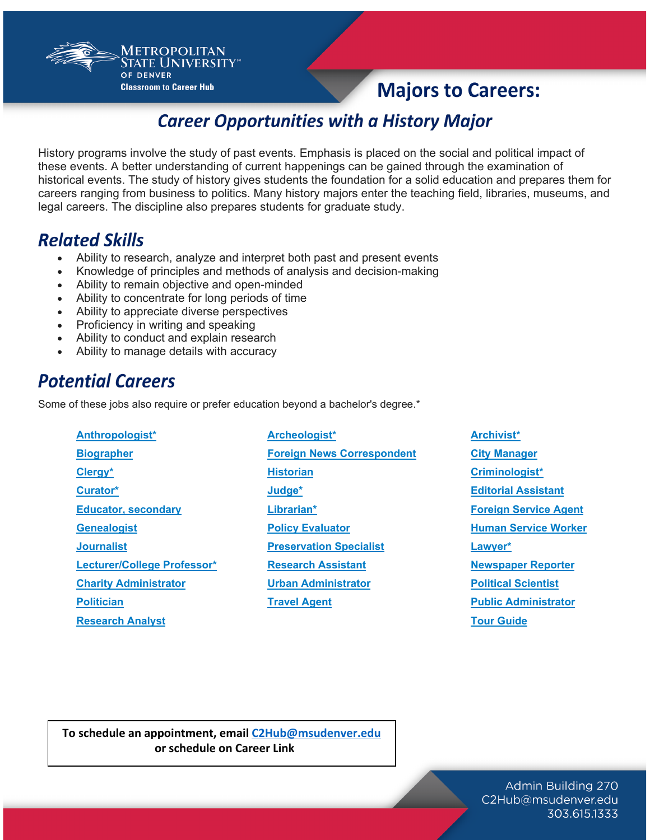**Majors to Careers:** 

## **Career Opportunities with a History Major**

History programs involve the study of past events. Emphasis is placed on the social and political impact of these events. A better understanding of current happenings can be gained through the examination of historical events. The study of history gives students the foundation for a solid education and prepares them for careers ranging from business to politics. Many history majors enter the teaching field, libraries, museums, and legal careers. The discipline also prepares students for graduate study.

#### **Related Skills**

- Ability to research, analyze and interpret both past and present events
- Knowledge of principles and methods of analysis and decision-making
- Ability to remain objective and open-minded

Metropolitan **TATE UNIVERSITY®** 

**Classroom to Career Hub** 

OF DENVER

- Ability to concentrate for long periods of time
- Ability to appreciate diverse perspectives
- Proficiency in writing and speaking
- Ability to conduct and explain research
- Ability to manage details with accuracy

### **Potential Careers**

Some of these jobs also require or prefer education beyond a bachelor's degree.\*

**[Anthropologist\\*](http://www.hssonline.org/) [Archeologist\\*](mailto:C2Hub@msudenver.edu) [Archivist\\*](http://www.loc.gov/index.html) [Research Analyst](http://www.onetonline.org/link/summary/25-4013.00) [Tour Guide](http://www.bls.gov/ooh/life-physical-and-social-science/political-scientists.htm)**

**[Biographer](http://www.thewha.org/) [Foreign News Correspondent](http://www.bls.gov/ooh/education-training-and-library/archivists.htm) [City Manager](http://www.bls.gov/ooh/media-and-communication/reporters-correspondents-and-broadcast-news-analysts.htm) [Clergy\\*](http://www.acra-crm.org/) [Historian](http://www.bls.gov/ooh/life-physical-and-social-science/anthropologists-and-archeologists.htm) [Criminologist\\*](http://www.bls.gov/ooh/legal/judges-mediators-and-hearing-officers.htm) [Curator\\*](mailto:C2Hub@msudenver.edu) [Judge\\*](http://www.historychannel.com/) [Editorial Assistant](http://www.onetonline.org/link/summary/21-2011.00) [Educator,](http://www.bls.gov/ooh/media-and-communication/reporters-correspondents-and-broadcast-news-analysts.htm) secondary [Librarian\\*](http://www.bls.gov/ooh/life-physical-and-social-science/sociologists.htm) [Foreign Service Agent](http://www.hartford-hwp.com/archives/) [Genealogist](http://www.bls.gov/ooh/life-physical-and-social-science/historians.htm) [Policy Evaluator](http://www.onetonline.org/link/summary/43-9081.00) [Human Service Worker](http://www.bls.gov/ooh/Education-Training-and-Library/Curators-and-museum-technicians.htm) [Journalist](http://www.bls.gov/ooh/Life-Physical-and-Social-Science/Urban-and-regional-planners.htm) [Preservation Specialist](http://www.onetonline.org/link/summary/21-1093.00) [Lawyer\\*](http://www.bls.gov/ooh/legal/lawyers.htm) [Lecturer/](http://www.bls.gov/ooh/education-training-and-library/librarians.htm)College Professor\* [Research Assistant](http://www.bls.gov/ooh/media-and-communication/writers-and-authors.htm) [Newspaper Reporter](http://www.bls.gov/ooh/life-physical-and-social-science/historians.htm) [Charity Administrator](http://www.onetonline.org/link/summary/25-1125.00) <b>Victor [Urban Administrator](http://www.onetonline.org/link/summary/25-1125.00) [Political Scientist](http://www.bls.gov/ooh/media-and-communication/reporters-correspondents-and-broadcast-news-analysts.htm) [Politician](http://www.onetonline.org/link/summary/43-9041.02) [Travel Agent](http://www.bls.gov/ooh/life-physical-and-social-science/political-scientists.htm) [Public Administrator](http://www.onetonline.org/link/summary/11-9151.00)**

**To schedule an appointment, email [C2Hub@msudenver.edu](mailto:C2Hub@msudenver.edu) or schedule on Career Link**

> Admin Building 270 C2Hub@msudenver.edu 303.615.1333